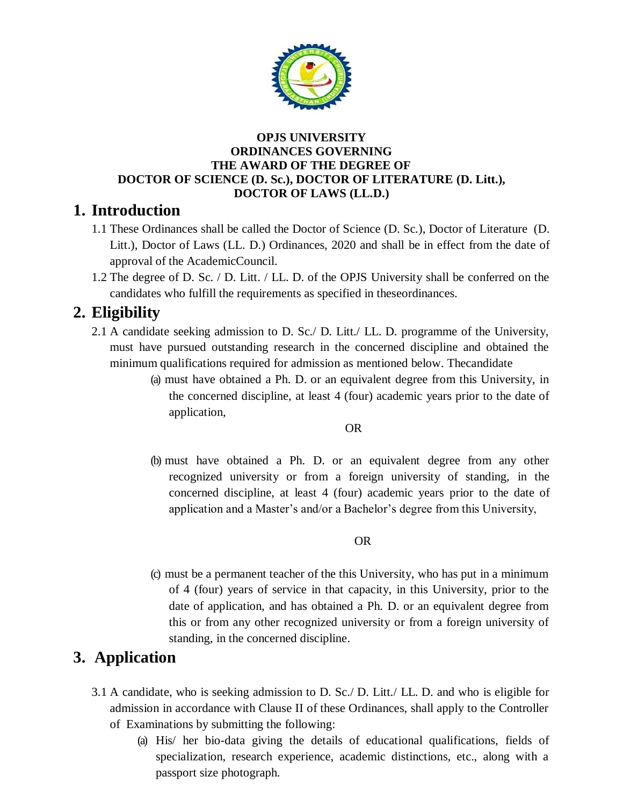

#### **OPJS UNIVERSITY ORDINANCES GOVERNING THE AWARD OF THE DEGREE OF DOCTOR OF SCIENCE (D. Sc.), DOCTOR OF LITERATURE (D. Litt.), DOCTOR OF LAWS (LL.D.)**

## **1. Introduction**

- 1.1 These Ordinances shall be called the Doctor of Science (D. Sc.), Doctor of Literature (D. Litt.), Doctor of Laws (LL. D.) Ordinances, 2020 and shall be in effect from the date of approval of the AcademicCouncil.
- 1.2 The degree of D. Sc. / D. Litt. / LL. D. of the OPJS University shall be conferred on the candidates who fulfill the requirements as specified in theseordinances.

# **2. Eligibility**

- 2.1 A candidate seeking admission to D. Sc./ D. Litt./ LL. D. programme of the University, must have pursued outstanding research in the concerned discipline and obtained the minimum qualifications required for admission as mentioned below. Thecandidate
	- (a) must have obtained a Ph. D. or an equivalent degree from this University, in the concerned discipline, at least 4 (four) academic years prior to the date of application,

#### **OR** Service Service Service Service Service Service Service Service Service Service Service Service Service Service Service Service Service Service Service Service Service Service Service Service Service Service Service S

(b) must have obtained a Ph. D. or an equivalent degree from any other recognized university or from a foreign university of standing, in the concerned discipline, at least 4 (four) academic years prior to the date of application and a Master's and/or a Bachelor's degree from this University,

#### **OR** Service Service Service Service Service Service Service Service Service Service Service Service Service Service Service Service Service Service Service Service Service Service Service Service Service Service Service S

(c) must be a permanent teacher of the this University, who has put in a minimum of 4 (four) years of service in that capacity, in this University, prior to the date of application, and has obtained a Ph. D. or an equivalent degree from this or from any other recognized university or from a foreign university of standing, in the concerned discipline.

## **3. Application**

- 3.1 A candidate, who is seeking admission to D. Sc./ D. Litt./ LL. D. and who is eligible for admission in accordance with Clause II of these Ordinances, shall apply to the Controller of Examinations by submitting the following:
	- (a) His/ her bio-data giving the details of educational qualifications, fields of specialization, research experience, academic distinctions, etc., along with a passport size photograph.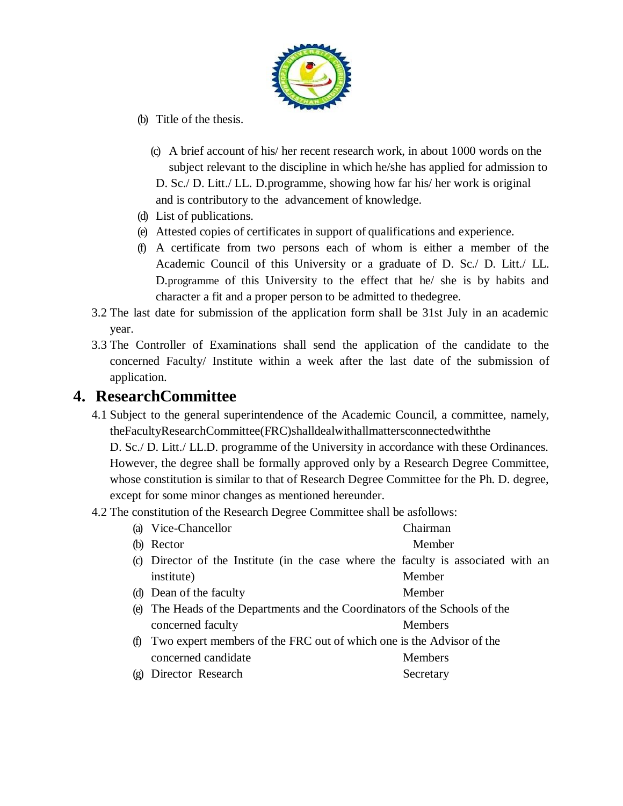

- (b) Title of the thesis.
	- (c) A brief account of his/ her recent research work, in about 1000 words on the subject relevant to the discipline in which he/she has applied for admission to

D. Sc./ D. Litt./ LL. D.programme, showing how far his/ her work is original and is contributory to the advancement of knowledge.

- (d) List of publications.
- (e) Attested copies of certificates in support of qualifications and experience.
- (f) A certificate from two persons each of whom is either a member of the Academic Council of this University or a graduate of D. Sc./ D. Litt./ LL. D.programme of this University to the effect that he/ she is by habits and character a fit and a proper person to be admitted to thedegree.
- 3.2 The last date for submission of the application form shall be 31st July in an academic year.
- 3.3 The Controller of Examinations shall send the application of the candidate to the concerned Faculty/ Institute within a week after the last date of the submission of application.

#### **4. ResearchCommittee**

4.1 Subject to the general superintendence of the Academic Council, a committee, namely, theFacultyResearchCommittee(FRC)shalldealwithallmattersconnectedwiththe

D. Sc./ D. Litt./ LL.D. programme of the University in accordance with these Ordinances. However, the degree shall be formally approved only by a Research Degree Committee, whose constitution is similar to that of Research Degree Committee for the Ph. D. degree, except for some minor changes as mentioned hereunder.

4.2 The constitution of the Research Degree Committee shall be asfollows:

|     | (a) Vice-Chancellor                                                                | Chairman       |  |  |  |
|-----|------------------------------------------------------------------------------------|----------------|--|--|--|
| (b) | Rector                                                                             | Member         |  |  |  |
|     | (c) Director of the Institute (in the case where the faculty is associated with an |                |  |  |  |
|     | institute)                                                                         | Member         |  |  |  |
|     | (d) Dean of the faculty                                                            | Member         |  |  |  |
| (e) | The Heads of the Departments and the Coordinators of the Schools of the            |                |  |  |  |
|     | concerned faculty                                                                  | <b>Members</b> |  |  |  |
| (t) | Two expert members of the FRC out of which one is the Advisor of the               |                |  |  |  |
|     | concerned candidate                                                                | Members        |  |  |  |
|     |                                                                                    |                |  |  |  |

(g) Director Research Secretary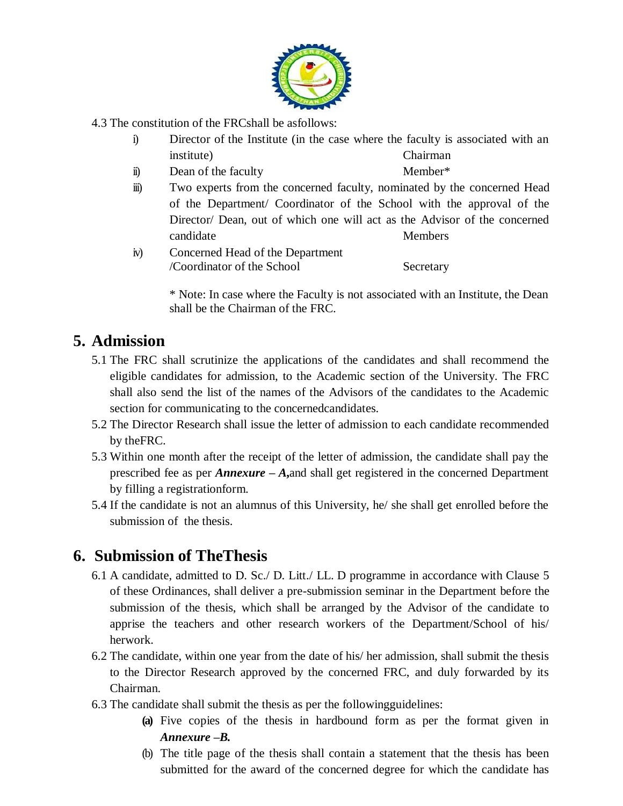

- 4.3 The constitution of the FRCshall be asfollows:
	- i) Director of the Institute (in the case where the faculty is associated with an institute) Chairman
	- ii) Dean of the faculty Member\*
- - iii) Two experts from the concerned faculty, nominated by the concerned Head of the Department/ Coordinator of the School with the approval of the Director/ Dean, out of which one will act as the Advisor of the concerned candidate Members
	- iv) Concerned Head of the Department /Coordinator of the School Secretary

\* Note: In case where the Faculty is not associated with an Institute, the Dean shall be the Chairman of the FRC.

## **5. Admission**

- 5.1 The FRC shall scrutinize the applications of the candidates and shall recommend the eligible candidates for admission, to the Academic section of the University. The FRC shall also send the list of the names of the Advisors of the candidates to the Academic section for communicating to the concernedcandidates.
- 5.2 The Director Research shall issue the letter of admission to each candidate recommended by theFRC.
- 5.3 Within one month after the receipt of the letter of admission, the candidate shall pay the prescribed fee as per *Annexure* **–** *A***,**and shall get registered in the concerned Department by filling a registrationform.
- 5.4 If the candidate is not an alumnus of this University, he/ she shall get enrolled before the submission of the thesis.

## **6. Submission of TheThesis**

- 6.1 A candidate, admitted to D. Sc./ D. Litt./ LL. D programme in accordance with Clause 5 of these Ordinances, shall deliver a pre-submission seminar in the Department before the submission of the thesis, which shall be arranged by the Advisor of the candidate to apprise the teachers and other research workers of the Department/School of his/ herwork.
- 6.2 The candidate, within one year from the date of his/ her admission, shall submit the thesis to the Director Research approved by the concerned FRC, and duly forwarded by its Chairman.
- 6.3 The candidate shall submit the thesis as per the followingguidelines:
	- **(a)** Five copies of the thesis in hardbound form as per the format given in *Annexure –B.*
	- (b) The title page of the thesis shall contain a statement that the thesis has been submitted for the award of the concerned degree for which the candidate has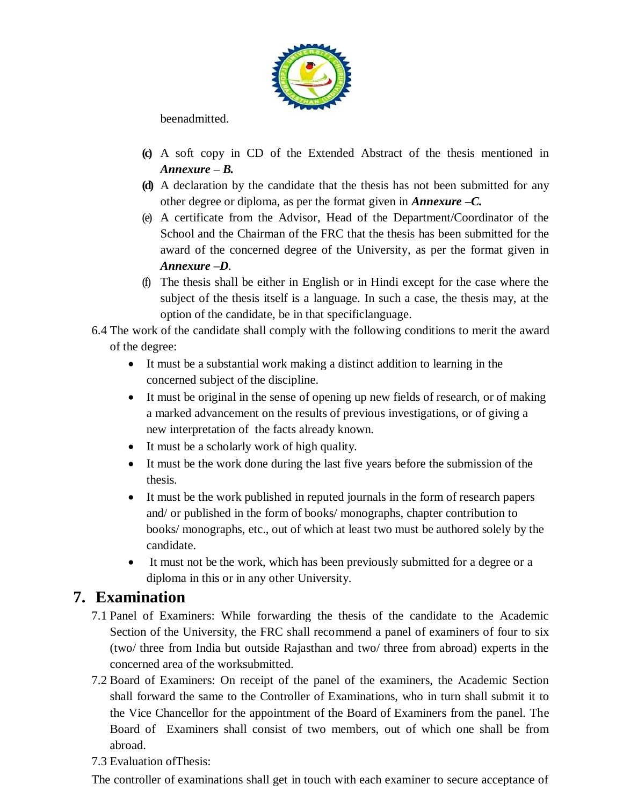

beenadmitted.

- **(c)** A soft copy in CD of the Extended Abstract of the thesis mentioned in *Annexure – B.*
- **(d)** A declaration by the candidate that the thesis has not been submitted for any other degree or diploma, as per the format given in *Annexure –C.*
- (e) A certificate from the Advisor, Head of the Department/Coordinator of the School and the Chairman of the FRC that the thesis has been submitted for the award of the concerned degree of the University, as per the format given in *Annexure –D.*
- (f) The thesis shall be either in English or in Hindi except for the case where the subject of the thesis itself is a language. In such a case, the thesis may, at the option of the candidate, be in that specificlanguage.
- 6.4 The work of the candidate shall comply with the following conditions to merit the award of the degree:
	- It must be a substantial work making a distinct addition to learning in the concerned subject of the discipline.
	- It must be original in the sense of opening up new fields of research, or of making a marked advancement on the results of previous investigations, or of giving a new interpretation of the facts already known.
	- It must be a scholarly work of high quality.
	- It must be the work done during the last five years before the submission of the thesis.
	- It must be the work published in reputed journals in the form of research papers and/ or published in the form of books/ monographs, chapter contribution to books/ monographs, etc., out of which at least two must be authored solely by the candidate.
	- It must not be the work, which has been previously submitted for a degree or a diploma in this or in any other University.

## **7. Examination**

- 7.1 Panel of Examiners: While forwarding the thesis of the candidate to the Academic Section of the University, the FRC shall recommend a panel of examiners of four to six (two/ three from India but outside Rajasthan and two/ three from abroad) experts in the concerned area of the worksubmitted.
- 7.2 Board of Examiners: On receipt of the panel of the examiners, the Academic Section shall forward the same to the Controller of Examinations, who in turn shall submit it to the Vice Chancellor for the appointment of the Board of Examiners from the panel. The Board of Examiners shall consist of two members, out of which one shall be from abroad.
- 7.3 Evaluation ofThesis:

The controller of examinations shall get in touch with each examiner to secure acceptance of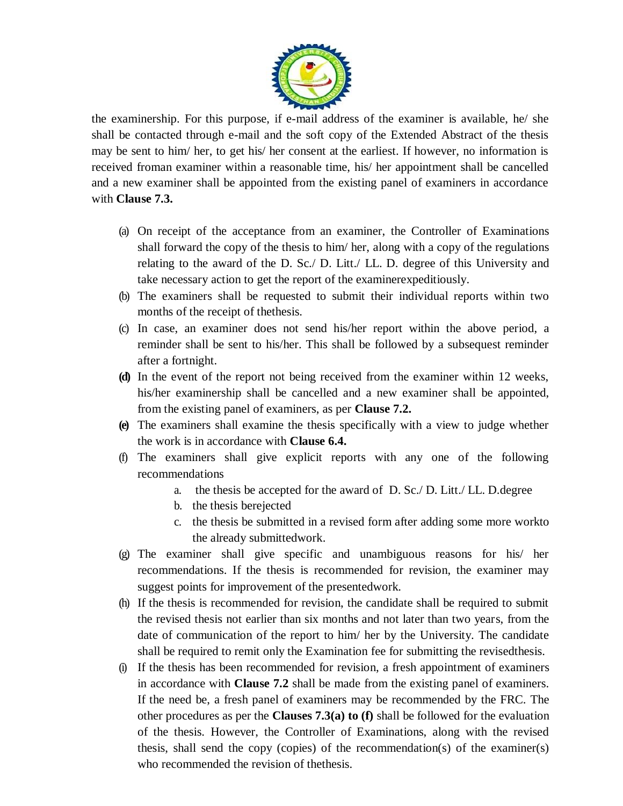

the examinership. For this purpose, if e-mail address of the examiner is available, he/ she shall be contacted through e-mail and the soft copy of the Extended Abstract of the thesis may be sent to him/ her, to get his/ her consent at the earliest. If however, no information is received froman examiner within a reasonable time, his/ her appointment shall be cancelled and a new examiner shall be appointed from the existing panel of examiners in accordance with **Clause 7.3.**

- (a) On receipt of the acceptance from an examiner, the Controller of Examinations shall forward the copy of the thesis to him/ her, along with a copy of the regulations relating to the award of the D. Sc./ D. Litt./ LL. D. degree of this University and take necessary action to get the report of the examinerexpeditiously.
- (b) The examiners shall be requested to submit their individual reports within two months of the receipt of thethesis.
- (c) In case, an examiner does not send his/her report within the above period, a reminder shall be sent to his/her. This shall be followed by a subsequest reminder after a fortnight.
- **(d)** In the event of the report not being received from the examiner within 12 weeks, his/her examinership shall be cancelled and a new examiner shall be appointed, from the existing panel of examiners, as per **Clause 7.2.**
- **(e)** The examiners shall examine the thesis specifically with a view to judge whether the work is in accordance with **Clause 6.4.**
- (f) The examiners shall give explicit reports with any one of the following recommendations
	- a. the thesis be accepted for the award of D. Sc./ D. Litt./ LL. D.degree
	- b. the thesis berejected
	- c. the thesis be submitted in a revised form after adding some more workto the already submittedwork.
- (g) The examiner shall give specific and unambiguous reasons for his/ her recommendations. If the thesis is recommended for revision, the examiner may suggest points for improvement of the presentedwork.
- (h) If the thesis is recommended for revision, the candidate shall be required to submit the revised thesis not earlier than six months and not later than two years, from the date of communication of the report to him/ her by the University. The candidate shall be required to remit only the Examination fee for submitting the revisedthesis.
- (i) If the thesis has been recommended for revision, a fresh appointment of examiners in accordance with **Clause 7.2** shall be made from the existing panel of examiners. If the need be, a fresh panel of examiners may be recommended by the FRC. The other procedures as per the **Clauses 7.3(a) to (f)** shall be followed for the evaluation of the thesis. However, the Controller of Examinations, along with the revised thesis, shall send the copy (copies) of the recommendation(s) of the examiner(s) who recommended the revision of thethesis.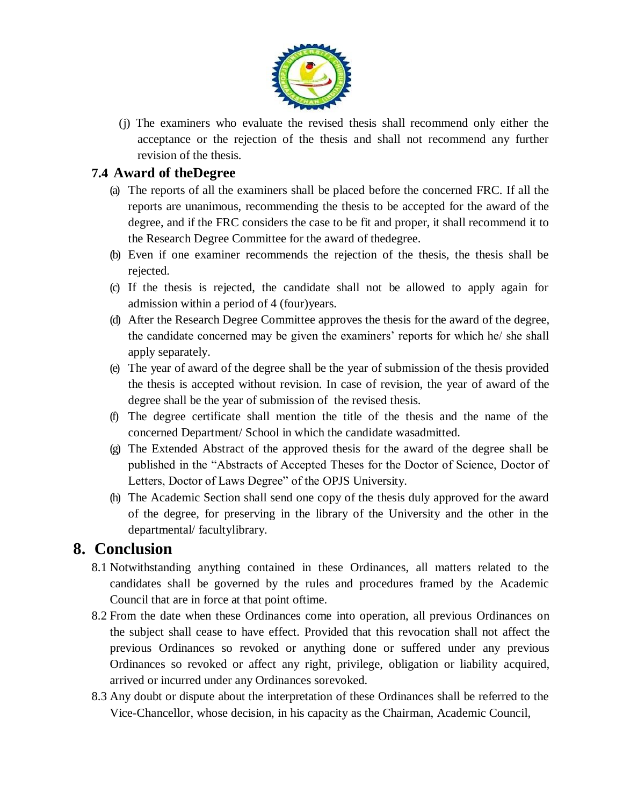

(j) The examiners who evaluate the revised thesis shall recommend only either the acceptance or the rejection of the thesis and shall not recommend any further revision of the thesis.

#### **7.4 Award of theDegree**

- (a) The reports of all the examiners shall be placed before the concerned FRC. If all the reports are unanimous, recommending the thesis to be accepted for the award of the degree, and if the FRC considers the case to be fit and proper, it shall recommend it to the Research Degree Committee for the award of thedegree.
- (b) Even if one examiner recommends the rejection of the thesis, the thesis shall be rejected.
- (c) If the thesis is rejected, the candidate shall not be allowed to apply again for admission within a period of 4 (four)years.
- (d) After the Research Degree Committee approves the thesis for the award of the degree, the candidate concerned may be given the examiners' reports for which he/ she shall apply separately.
- (e) The year of award of the degree shall be the year of submission of the thesis provided the thesis is accepted without revision. In case of revision, the year of award of the degree shall be the year of submission of the revised thesis.
- (f) The degree certificate shall mention the title of the thesis and the name of the concerned Department/ School in which the candidate wasadmitted.
- (g) The Extended Abstract of the approved thesis for the award of the degree shall be published in the "Abstracts of Accepted Theses for the Doctor of Science, Doctor of Letters, Doctor of Laws Degree" of the OPJS University.
- (h) The Academic Section shall send one copy of the thesis duly approved for the award of the degree, for preserving in the library of the University and the other in the departmental/ facultylibrary.

#### **8. Conclusion**

- 8.1 Notwithstanding anything contained in these Ordinances, all matters related to the candidates shall be governed by the rules and procedures framed by the Academic Council that are in force at that point oftime.
- 8.2 From the date when these Ordinances come into operation, all previous Ordinances on the subject shall cease to have effect. Provided that this revocation shall not affect the previous Ordinances so revoked or anything done or suffered under any previous Ordinances so revoked or affect any right, privilege, obligation or liability acquired, arrived or incurred under any Ordinances sorevoked.
- 8.3 Any doubt or dispute about the interpretation of these Ordinances shall be referred to the Vice-Chancellor, whose decision, in his capacity as the Chairman, Academic Council,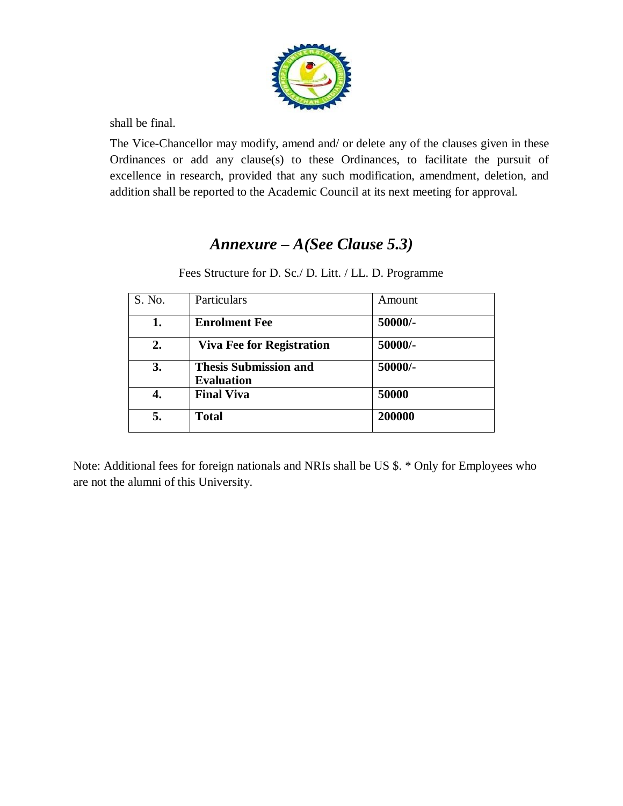

shall be final.

The Vice-Chancellor may modify, amend and/ or delete any of the clauses given in these Ordinances or add any clause(s) to these Ordinances, to facilitate the pursuit of excellence in research, provided that any such modification, amendment, deletion, and addition shall be reported to the Academic Council at its next meeting for approval.

# *Annexure – A(See Clause 5.3)*

Fees Structure for D. Sc./ D. Litt. / LL. D. Programme

| S. No. | Particulars                                       | Amount  |
|--------|---------------------------------------------------|---------|
| 1.     | <b>Enrolment Fee</b>                              | 50000/- |
| 2.     | <b>Viva Fee for Registration</b>                  | 50000/- |
| 3.     | <b>Thesis Submission and</b><br><b>Evaluation</b> | 50000/- |
| 4.     | <b>Final Viva</b>                                 | 50000   |
| 5.     | <b>Total</b>                                      | 200000  |

Note: Additional fees for foreign nationals and NRIs shall be US \$. \* Only for Employees who are not the alumni of this University.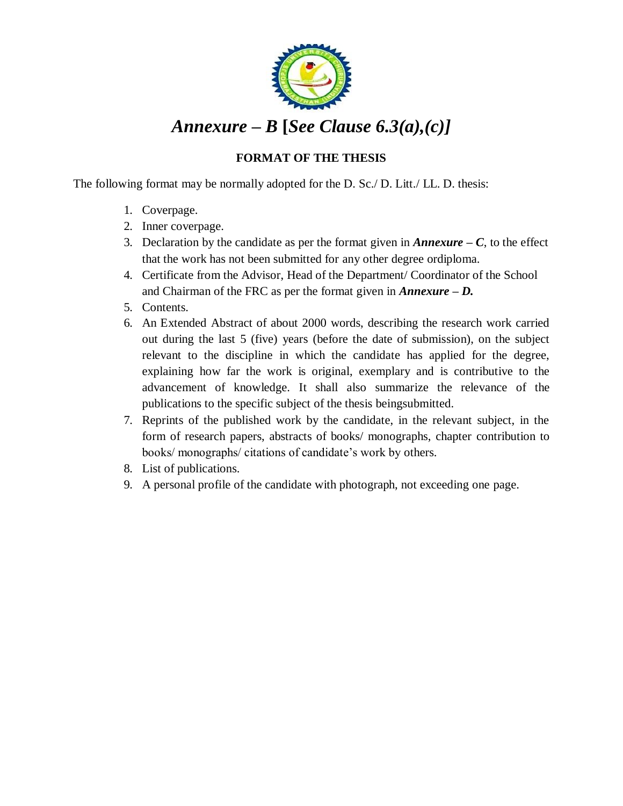

# *Annexure – B* **[***See Clause 6.3(a),(c)]*

#### **FORMAT OF THE THESIS**

The following format may be normally adopted for the D. Sc./ D. Litt./ LL. D. thesis:

- 1. Coverpage.
- 2. Inner coverpage.
- 3. Declaration by the candidate as per the format given in **Annexure**  $C$ , to the effect that the work has not been submitted for any other degree ordiploma.
- 4. Certificate from the Advisor, Head of the Department/ Coordinator of the School and Chairman of the FRC as per the format given in *Annexure – D.*
- 5. Contents.
- 6. An Extended Abstract of about 2000 words, describing the research work carried out during the last 5 (five) years (before the date of submission), on the subject relevant to the discipline in which the candidate has applied for the degree, explaining how far the work is original, exemplary and is contributive to the advancement of knowledge. It shall also summarize the relevance of the publications to the specific subject of the thesis beingsubmitted.
- 7. Reprints of the published work by the candidate, in the relevant subject, in the form of research papers, abstracts of books/ monographs, chapter contribution to books/ monographs/ citations of candidate's work by others.
- 8. List of publications.
- 9. A personal profile of the candidate with photograph, not exceeding one page.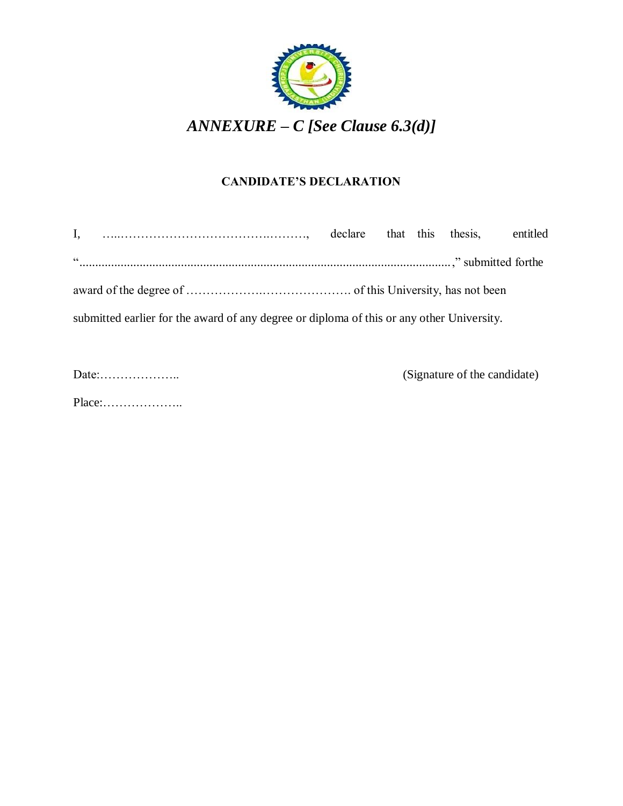

#### **CANDIDATE'S DECLARATION**

| 66                                                                                        |  |  |  |  |  |  |
|-------------------------------------------------------------------------------------------|--|--|--|--|--|--|
|                                                                                           |  |  |  |  |  |  |
| submitted earlier for the award of any degree or diploma of this or any other University. |  |  |  |  |  |  |

Date:……………….. (Signature of the candidate)

Place:………………..